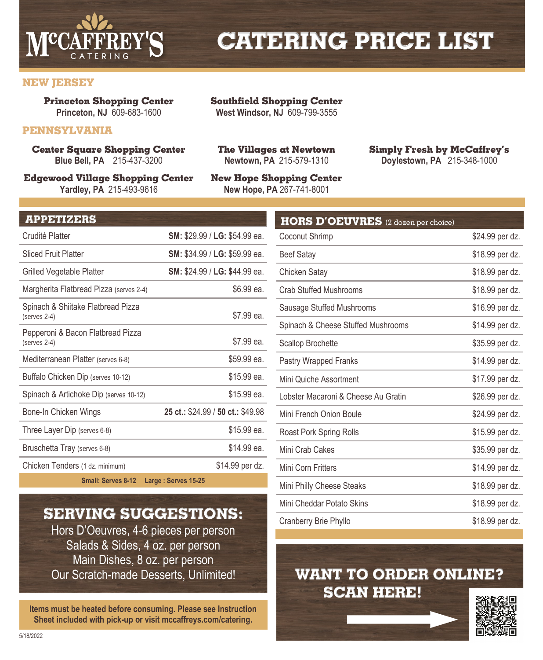

# **CATERING PRICE LIST**

## **NEW JERSEY**

**Princeton Shopping Center Princeton, NJ** 609-683-1600

## **PENNSYLVANIA**

**Center Square Shopping Center Blue Bell, PA** 215-437-3200

**Edgewood Village Shopping Center Yardley, PA** 215-493-9616

**Southfield Shopping Center West Windsor, NJ** 609-799-3555

**The Villages at Newtown Newtown, PA** 215-579-1310

**New Hope, PA** 267-741-8001

**New Hope Shopping Center**

**Simply Fresh by McCaffrey's Doylestown, PA** 215-348-1000

#### **APPETIZERS**

| Crudité Platter                                    | SM: \$29.99 / LG: \$54.99 ea.        |
|----------------------------------------------------|--------------------------------------|
| <b>Sliced Fruit Platter</b>                        | <b>SM:</b> \$34.99 / LG: \$59.99 ea. |
| Grilled Vegetable Platter                          | SM: \$24.99 / LG: \$44.99 ea.        |
| Margherita Flatbread Pizza (serves 2-4)            | \$6.99 ea.                           |
| Spinach & Shiitake Flatbread Pizza<br>(serves 2-4) | \$7.99 ea.                           |
| Pepperoni & Bacon Flatbread Pizza<br>(serves 2-4)  | \$7.99 ea.                           |
| Mediterranean Platter (serves 6-8)                 | \$59.99 ea.                          |
| Buffalo Chicken Dip (serves 10-12)                 | \$15.99 ea.                          |
| Spinach & Artichoke Dip (serves 10-12)             | \$15.99 ea.                          |
| Bone-In Chicken Wings                              | 25 ct.: \$24.99 / 50 ct.: \$49.98    |
| Three Layer Dip (serves 6-8)                       | \$15.99 ea.                          |
| Bruschetta Tray (serves 6-8)                       | \$14.99 ea.                          |
| Chicken Tenders (1 dz. minimum)                    | \$14.99 per dz.                      |

**Small: Serves 8-12 Large : Serves 15-25**

## **SERVING SUGGESTIONS:**

Hors D'Oeuvres, 4-6 pieces per person Salads & Sides, 4 oz. per person Main Dishes, 8 oz. per person Our Scratch-made Desserts, Unlimited!

**Items must be heated before consuming. Please see Instruction Sheet included with pick-up or visit mccaffreys.com/catering.**

| <b>HORS D'OEUVRES</b> (2 dozen per choice) |                 |
|--------------------------------------------|-----------------|
| Coconut Shrimp                             | \$24.99 per dz. |
| <b>Beef Satay</b>                          | \$18.99 per dz. |
| Chicken Satay                              | \$18.99 per dz. |
| <b>Crab Stuffed Mushrooms</b>              | \$18.99 per dz. |
| Sausage Stuffed Mushrooms                  | \$16.99 per dz. |
| Spinach & Cheese Stuffed Mushrooms         | \$14.99 per dz. |
| <b>Scallop Brochette</b>                   | \$35.99 per dz. |
| Pastry Wrapped Franks                      | \$14.99 per dz. |
| Mini Quiche Assortment                     | \$17.99 per dz. |
| Lobster Macaroni & Cheese Au Gratin        | \$26.99 per dz. |
| Mini French Onion Boule                    | \$24.99 per dz. |
| Roast Pork Spring Rolls                    | \$15.99 per dz. |
| Mini Crab Cakes                            | \$35.99 per dz. |
| Mini Corn Fritters                         | \$14.99 per dz. |
| Mini Philly Cheese Steaks                  | \$18.99 per dz. |
| Mini Cheddar Potato Skins                  | \$18.99 per dz. |
| Cranberry Brie Phyllo                      | \$18.99 per dz. |

## **WANT TO ORDER ONLINE? SCAN HERE!**

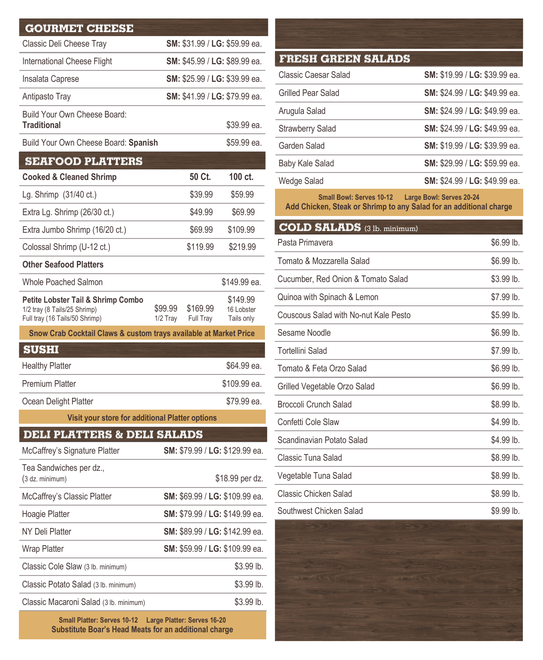| <b>GOURMET CHEESE</b>                                                                                           |                       |                       |                                      |
|-----------------------------------------------------------------------------------------------------------------|-----------------------|-----------------------|--------------------------------------|
| Classic Deli Cheese Tray                                                                                        |                       |                       | SM: \$31.99 / LG: \$59.99 ea.        |
| International Cheese Flight                                                                                     |                       |                       | SM: \$45.99 / LG: \$89.99 ea.        |
| Insalata Caprese                                                                                                |                       |                       | SM: \$25.99 / LG: \$39.99 ea.        |
| Antipasto Tray                                                                                                  |                       |                       | SM: \$41.99 / LG: \$79.99 ea.        |
| Build Your Own Cheese Board:<br><b>Traditional</b>                                                              |                       |                       | \$39.99 ea.                          |
| Build Your Own Cheese Board: Spanish                                                                            |                       |                       | \$59.99 ea.                          |
| <b>SEAFOOD PLATTERS</b>                                                                                         |                       |                       |                                      |
| <b>Cooked &amp; Cleaned Shrimp</b>                                                                              |                       | 50 Ct.                | 100 ct.                              |
| Lg. Shrimp (31/40 ct.)                                                                                          |                       | \$39.99               | \$59.99                              |
| Extra Lg. Shrimp (26/30 ct.)                                                                                    |                       | \$49.99               | \$69.99                              |
| Extra Jumbo Shrimp (16/20 ct.)                                                                                  |                       | \$69.99               | \$109.99                             |
| Colossal Shrimp (U-12 ct.)                                                                                      |                       | \$119.99              | \$219.99                             |
| <b>Other Seafood Platters</b>                                                                                   |                       |                       |                                      |
| <b>Whole Poached Salmon</b>                                                                                     |                       |                       | \$149.99 ea.                         |
| <b>Petite Lobster Tail &amp; Shrimp Combo</b><br>1/2 tray (8 Tails/25 Shrimp)<br>Full tray (16 Tails/50 Shrimp) | \$99.99<br>$1/2$ Tray | \$169.99<br>Full Tray | \$149.99<br>16 Lobster<br>Tails only |
| Snow Crab Cocktail Claws & custom trays available at Market Price                                               |                       |                       |                                      |
| <b>SUSHI</b>                                                                                                    |                       |                       |                                      |
| <b>Healthy Platter</b>                                                                                          |                       |                       | \$64.99 ea.                          |
| <b>Premium Platter</b>                                                                                          |                       |                       | \$109.99 ea.                         |
| Ocean Delight Platter                                                                                           |                       |                       | \$79.99 ea.                          |
| Visit your store for additional Platter options                                                                 |                       |                       |                                      |
| <b>DELI PLATTERS &amp; DELI SALADS</b>                                                                          |                       |                       |                                      |
| McCaffrey's Signature Platter                                                                                   |                       |                       | SM: \$79.99 / LG: \$129.99 ea.       |
| Tea Sandwiches per dz.,<br>(3 dz. minimum)                                                                      |                       |                       | \$18.99 per dz.                      |
| McCaffrey's Classic Platter                                                                                     |                       |                       | SM: \$69.99 / LG: \$109.99 ea.       |
| Hoagie Platter                                                                                                  |                       |                       | SM: \$79.99 / LG: \$149.99 ea.       |
| NY Deli Platter                                                                                                 |                       |                       | SM: \$89.99 / LG: \$142.99 ea.       |
| <b>Wrap Platter</b>                                                                                             |                       |                       | SM: \$59.99 / LG: \$109.99 ea.       |
| Classic Cole Slaw (3 lb. minimum)                                                                               |                       |                       | \$3.99 lb.                           |
| Classic Potato Salad (3 lb. minimum)                                                                            |                       |                       | \$3.99 lb.                           |
| Classic Macaroni Salad (3 lb. minimum)                                                                          |                       |                       | \$3.99 lb.                           |

**Small Platter: Serves 10-12 Large Platter: Serves 16-20 Substitute Boar's Head Meats for an additional charge**

| <b>FRESH GREEN SALADS</b> |                               |
|---------------------------|-------------------------------|
| Classic Caesar Salad      | SM: \$19.99 / LG: \$39.99 ea. |
| Grilled Pear Salad        | SM: \$24.99 / LG: \$49.99 ea. |
| Arugula Salad             | SM: \$24.99 / LG: \$49.99 ea. |
| <b>Strawberry Salad</b>   | SM: \$24.99 / LG: \$49.99 ea. |
| Garden Salad              | SM: \$19.99 / LG: \$39.99 ea. |
| <b>Baby Kale Salad</b>    | SM: \$29.99 / LG: \$59.99 ea. |
| Wedge Salad               | SM: \$24.99 / LG: \$49.99 ea. |
|                           |                               |

**Small Bowl: Serves 10-12 Large Bowl: Serves 20-24 Add Chicken, Steak or Shrimp to any Salad for an additional charge**

| <b>COLD SALADS</b> (3 lb. minimum)    |            |
|---------------------------------------|------------|
| Pasta Primavera                       | \$6.99 lb. |
| Tomato & Mozzarella Salad             | \$6.99 lb. |
| Cucumber, Red Onion & Tomato Salad    | \$3.99 lb. |
| Quinoa with Spinach & Lemon           | \$7.99 lb. |
| Couscous Salad with No-nut Kale Pesto | \$5.99 lb. |
| Sesame Noodle                         | \$6.99 lb. |
| <b>Tortellini Salad</b>               | \$7.99 lb. |
| Tomato & Feta Orzo Salad              | \$6.99 lb. |
| Grilled Vegetable Orzo Salad          | \$6.99 lb. |
| <b>Broccoli Crunch Salad</b>          | \$8.99 lb. |
| Confetti Cole Slaw                    | \$4.99 lb. |
| Scandinavian Potato Salad             | \$4.99 lb. |
| Classic Tuna Salad                    | \$8.99 lb. |
| Vegetable Tuna Salad                  | \$8.99 lb. |
| Classic Chicken Salad                 | \$8.99 lb. |
| Southwest Chicken Salad               | \$9.99 lb. |

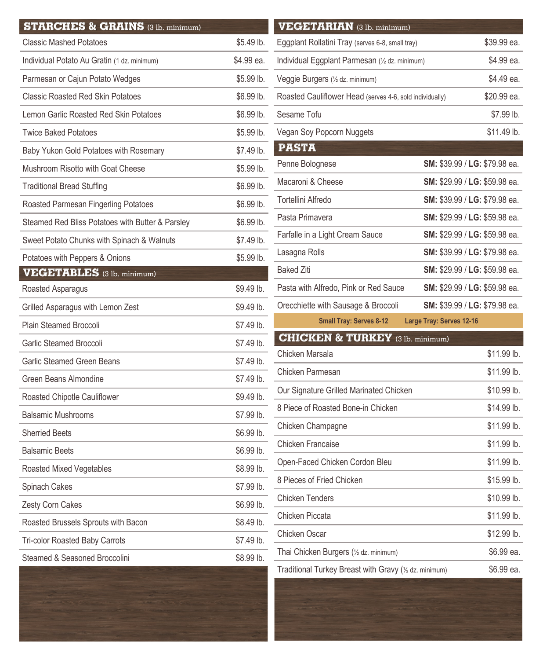| <b>STARCHES &amp; GRAINS (3 lb. minimum)</b>     |             |
|--------------------------------------------------|-------------|
| <b>Classic Mashed Potatoes</b>                   | \$5.49 lb.  |
| Individual Potato Au Gratin (1 dz. minimum)      | \$4.99 ea.  |
| Parmesan or Cajun Potato Wedges                  | \$5.99 lb.  |
| <b>Classic Roasted Red Skin Potatoes</b>         | \$6.99 lb.  |
| Lemon Garlic Roasted Red Skin Potatoes           | \$6.99 lb.  |
| <b>Twice Baked Potatoes</b>                      | \$5.99 lb.  |
| Baby Yukon Gold Potatoes with Rosemary           | \$7.49 lb.  |
| Mushroom Risotto with Goat Cheese                | \$5.99 lb.  |
| <b>Traditional Bread Stuffing</b>                | \$6.99 lb.  |
| Roasted Parmesan Fingerling Potatoes             | \$6.99 lb.  |
| Steamed Red Bliss Potatoes with Butter & Parsley | \$6.99 lb.  |
| Sweet Potato Chunks with Spinach & Walnuts       | \$7.49 lb.  |
| Potatoes with Peppers & Onions                   | \$5.99 lb.  |
| <b>VEGETABLES</b> (3 lb. minimum)                |             |
| Roasted Asparagus                                | \$9.49 lb.  |
| Grilled Asparagus with Lemon Zest                | \$9.49 lb.  |
| Plain Steamed Broccoli                           | \$7.49 lb.  |
| Garlic Steamed Broccoli                          | $$7.49$ lb. |
| Garlic Steamed Green Beans                       | \$7.49 lb.  |
| Green Beans Almondine                            | \$7.49 lb.  |
| Roasted Chipotle Cauliflower                     | \$9.49 lb.  |
| <b>Balsamic Mushrooms</b>                        | \$7.99 lb.  |
| <b>Sherried Beets</b>                            | \$6.99 lb.  |
| <b>Balsamic Beets</b>                            | \$6.99 lb.  |
| Roasted Mixed Vegetables                         | \$8.99 lb.  |
| Spinach Cakes                                    | \$7.99 lb.  |
| Zesty Corn Cakes                                 | $$6.99$ lb. |
| Roasted Brussels Sprouts with Bacon              | \$8.49 lb.  |
| <b>Tri-color Roasted Baby Carrots</b>            | \$7.49 lb.  |
| Steamed & Seasoned Broccolini                    | \$8.99 lb.  |